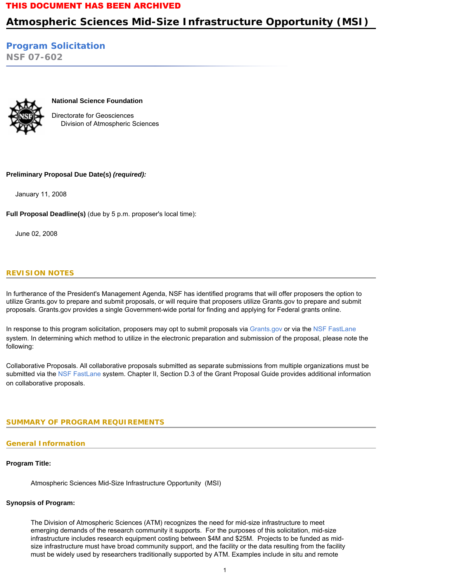# THIS DOCUMENT HAS BEEN ARCHIVED

# **Atmospheric Sciences Mid-Size Infrastructure Opportunity (MSI)**

**[Program Solicitation](#page-2-0)  NSF 07-602**



# **National Science Foundation**

Directorate for Geosciences Division of Atmospheric Sciences

# **Preliminary Proposal Due Date(s)** *(required):*

January 11, 2008

**Full Proposal Deadline(s)** (due by 5 p.m. proposer's local time):

June 02, 2008

# **REVISION NOTES**

In furtherance of the President's Management Agenda, NSF has identified programs that will offer proposers the option to utilize Grants.gov to prepare and submit proposals, or will require that proposers utilize Grants.gov to prepare and submit proposals. Grants.gov provides a single Government-wide portal for finding and applying for Federal grants online.

In response to this program solicitation, proposers may opt to submit proposals via [Grants.gov](http://www.grants.gov/) or via the [NSF FastLane](https://www.fastlane.nsf.gov/) system. In determining which method to utilize in the electronic preparation and submission of the proposal, please note the following:

<span id="page-0-0"></span>Collaborative Proposals. All collaborative proposals submitted as separate submissions from multiple organizations must be submitted via the [NSF FastLane](https://www.fastlane.nsf.gov/) system. Chapter II, Section D.3 of the Grant Proposal Guide provides additional information on collaborative proposals.

# **SUMMARY OF PROGRAM REQUIREMENTS**

# **General Information**

# **Program Title:**

Atmospheric Sciences Mid-Size Infrastructure Opportunity (MSI)

# **Synopsis of Program:**

The Division of Atmospheric Sciences (ATM) recognizes the need for mid-size infrastructure to meet emerging demands of the research community it supports. For the purposes of this solicitation, mid-size infrastructure includes research equipment costing between \$4M and \$25M. Projects to be funded as midsize infrastructure must have broad community support, and the facility or the data resulting from the facility must be widely used by researchers traditionally supported by ATM. Examples include in situ and remote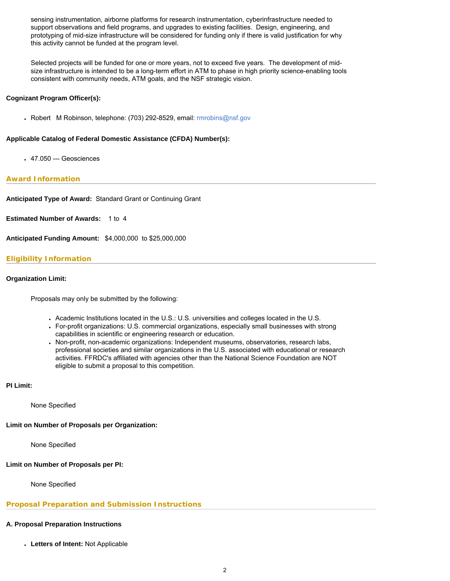sensing instrumentation, airborne platforms for research instrumentation, cyberinfrastructure needed to support observations and field programs, and upgrades to existing facilities. Design, engineering, and prototyping of mid-size infrastructure will be considered for funding only if there is valid justification for why this activity cannot be funded at the program level.

Selected projects will be funded for one or more years, not to exceed five years. The development of midsize infrastructure is intended to be a long-term effort in ATM to phase in high priority science-enabling tools consistent with community needs, ATM goals, and the NSF strategic vision.

# **Cognizant Program Officer(s):**

• Robert M Robinson, telephone: (703) 292-8529, email: [rmrobins@nsf.gov](mailto:rmrobins@nsf.gov)

# **Applicable Catalog of Federal Domestic Assistance (CFDA) Number(s):**

 $-47.050 - -$  Geosciences

# **Award Information**

**Anticipated Type of Award:** Standard Grant or Continuing Grant

**Estimated Number of Awards: 1 to 4** 

**Anticipated Funding Amount:** \$4,000,000 to \$25,000,000

# **Eligibility Information**

#### **Organization Limit:**

Proposals may only be submitted by the following:

- Academic Institutions located in the U.S.: U.S. universities and colleges located in the U.S.
- For-profit organizations: U.S. commercial organizations, especially small businesses with strong capabilities in scientific or engineering research or education.
- Non-profit, non-academic organizations: Independent museums, observatories, research labs, professional societies and similar organizations in the U.S. associated with educational or research activities. FFRDC's affiliated with agencies other than the National Science Foundation are NOT eligible to submit a proposal to this competition.

**PI Limit:**

None Specified

**Limit on Number of Proposals per Organization:**

None Specified

# **Limit on Number of Proposals per PI:**

None Specified

# **Proposal Preparation and Submission Instructions**

# **A. Proposal Preparation Instructions**

● **Letters of Intent:** Not Applicable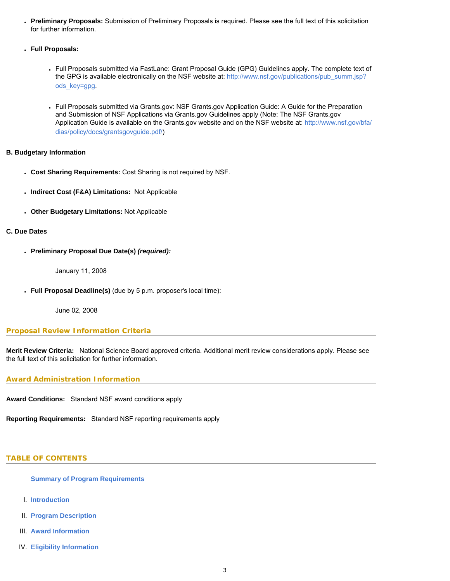- **Preliminary Proposals:** Submission of Preliminary Proposals is required. Please see the full text of this solicitation for further information.
- **Full Proposals:**
	- Full Proposals submitted via FastLane: Grant Proposal Guide (GPG) Guidelines apply. The complete text of the GPG is available electronically on the NSF website at: [http://www.nsf.gov/publications/pub\\_summ.jsp?](http://www.nsf.gov/publications/pub_summ.jsp?ods_key=gpg) [ods\\_key=gpg](http://www.nsf.gov/publications/pub_summ.jsp?ods_key=gpg).
	- Full Proposals submitted via Grants.gov: NSF Grants.gov Application Guide: A Guide for the Preparation and Submission of NSF Applications via Grants.gov Guidelines apply (Note: The NSF Grants.gov Application Guide is available on the Grants.gov website and on the NSF website at: [http://www.nsf.gov/bfa/](http://www.nsf.gov/bfa/dias/policy/docs/grantsgovguide.pdf) [dias/policy/docs/grantsgovguide.pdf/\)](http://www.nsf.gov/bfa/dias/policy/docs/grantsgovguide.pdf)

# **B. Budgetary Information**

- **Cost Sharing Requirements:** Cost Sharing is not required by NSF.
- **Indirect Cost (F&A) Limitations:** Not Applicable
- **Other Budgetary Limitations:** Not Applicable

#### **C. Due Dates**

● **Preliminary Proposal Due Date(s)** *(required):*

January 11, 2008

● **Full Proposal Deadline(s)** (due by 5 p.m. proposer's local time):

June 02, 2008

**Proposal Review Information Criteria**

**Merit Review Criteria:** National Science Board approved criteria. Additional merit review considerations apply. Please see the full text of this solicitation for further information.

# **Award Administration Information**

**Award Conditions:** Standard NSF award conditions apply

<span id="page-2-0"></span>**Reporting Requirements:** Standard NSF reporting requirements apply

# **TABLE OF CONTENTS**

# **[Summary of Program Requirements](#page-0-0)**

- I. **[Introduction](#page-3-0)**
- II. **[Program Description](#page-3-1)**
- III. **[Award Information](#page-4-0)**
- IV. **[Eligibility Information](#page-4-1)**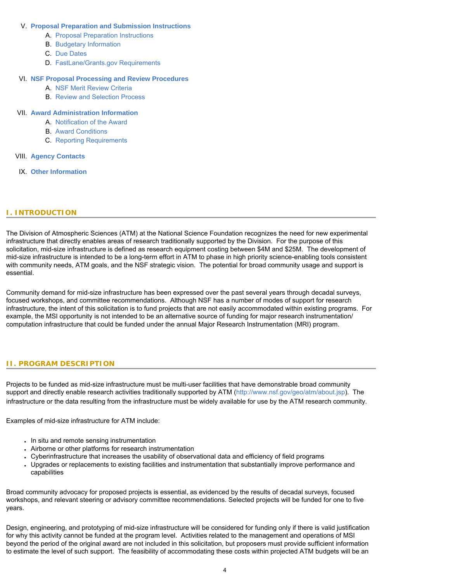# V. **[Proposal Preparation and Submission Instructions](#page-4-2)**

- A. [Proposal Preparation Instructions](#page-4-2)
- B. [Budgetary Information](#page-6-0)
- C. [Due Dates](#page-6-1)
- D. [FastLane/Grants.gov Requirements](#page-6-2)

# VI. **[NSF Proposal Processing and Review Procedures](#page-7-0)**

- A. [NSF Merit Review Criteria](#page-7-1)
- B. [Review and Selection Process](#page-8-0)

# VII. **[Award Administration Information](#page-8-1)**

- A. [Notification of the Award](#page-8-2)
- B. [Award Conditions](#page-8-3)
- C. [Reporting Requirements](#page-9-0)
- <span id="page-3-0"></span>VIII. **[Agency Contacts](#page-9-1)**
	- IX. **[Other Information](#page-9-2)**

# **I. INTRODUCTION**

The Division of Atmospheric Sciences (ATM) at the National Science Foundation recognizes the need for new experimental infrastructure that directly enables areas of research traditionally supported by the Division. For the purpose of this solicitation, mid-size infrastructure is defined as research equipment costing between \$4M and \$25M. The development of mid-size infrastructure is intended to be a long-term effort in ATM to phase in high priority science-enabling tools consistent with community needs, ATM goals, and the NSF strategic vision. The potential for broad community usage and support is essential.

Community demand for mid-size infrastructure has been expressed over the past several years through decadal surveys, focused workshops, and committee recommendations. Although NSF has a number of modes of support for research infrastructure, the intent of this solicitation is to fund projects that are not easily accommodated within existing programs. For example, the MSI opportunity is not intended to be an alternative source of funding for major research instrumentation/ computation infrastructure that could be funded under the annual Major Research Instrumentation (MRI) program.

# <span id="page-3-1"></span>**II. PROGRAM DESCRIPTION**

Projects to be funded as mid-size infrastructure must be multi-user facilities that have demonstrable broad community support and directly enable research activities traditionally supported by ATM [\(http://www.nsf.gov/geo/atm/about.jsp\). T](http://www.nsf.gov/geo/atm/about.jsp)he infrastructure or the data resulting from the infrastructure must be widely available for use by the ATM research community.

Examples of mid-size infrastructure for ATM include:

- In situ and remote sensing instrumentation
- Airborne or other platforms for research instrumentation
- Cyberinfrastructure that increases the usability of observational data and efficiency of field programs
- Upgrades or replacements to existing facilities and instrumentation that substantially improve performance and capabilities

Broad community advocacy for proposed projects is essential, as evidenced by the results of decadal surveys, focused workshops, and relevant steering or advisory committee recommendations. Selected projects will be funded for one to five years.

Design, engineering, and prototyping of mid-size infrastructure will be considered for funding only if there is valid justification for why this activity cannot be funded at the program level. Activities related to the management and operations of MSI beyond the period of the original award are not included in this solicitation, but proposers must provide sufficient information to estimate the level of such support. The feasibility of accommodating these costs within projected ATM budgets will be an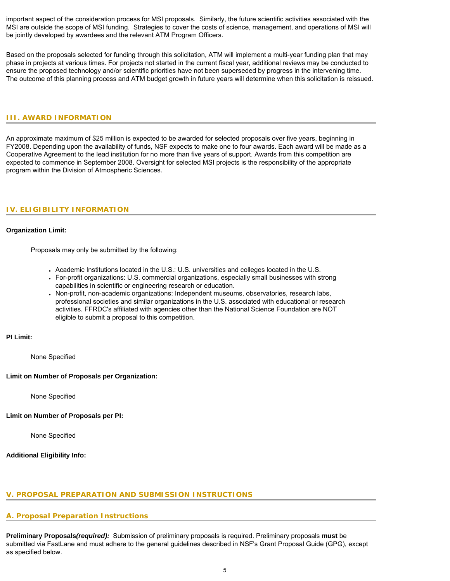important aspect of the consideration process for MSI proposals. Similarly, the future scientific activities associated with the MSI are outside the scope of MSI funding. Strategies to cover the costs of science, management, and operations of MSI will be jointly developed by awardees and the relevant ATM Program Officers.

Based on the proposals selected for funding through this solicitation, ATM will implement a multi-year funding plan that may phase in projects at various times. For projects not started in the current fiscal year, additional reviews may be conducted to ensure the proposed technology and/or scientific priorities have not been superseded by progress in the intervening time. The outcome of this planning process and ATM budget growth in future years will determine when this solicitation is reissued.

#### <span id="page-4-0"></span>**III. AWARD INFORMATION**

An approximate maximum of \$25 million is expected to be awarded for selected proposals over five years, beginning in FY2008. Depending upon the availability of funds, NSF expects to make one to four awards. Each award will be made as a Cooperative Agreement to the lead institution for no more than five years of support. Awards from this competition are expected to commence in September 2008. Oversight for selected MSI projects is the responsibility of the appropriate program within the Division of Atmospheric Sciences.

# <span id="page-4-1"></span>**IV. ELIGIBILITY INFORMATION**

#### **Organization Limit:**

Proposals may only be submitted by the following:

- Academic Institutions located in the U.S.: U.S. universities and colleges located in the U.S.
- For-profit organizations: U.S. commercial organizations, especially small businesses with strong capabilities in scientific or engineering research or education.
- Non-profit, non-academic organizations: Independent museums, observatories, research labs, professional societies and similar organizations in the U.S. associated with educational or research activities. FFRDC's affiliated with agencies other than the National Science Foundation are NOT eligible to submit a proposal to this competition.

#### **PI Limit:**

None Specified

#### **Limit on Number of Proposals per Organization:**

None Specified

# **Limit on Number of Proposals per PI:**

None Specified

# <span id="page-4-2"></span>**Additional Eligibility Info:**

# **V. PROPOSAL PREPARATION AND SUBMISSION INSTRUCTIONS**

# **A. Proposal Preparation Instructions**

**Preliminary Proposals***(required):* Submission of preliminary proposals is required. Preliminary proposals **must** be submitted via FastLane and must adhere to the general guidelines described in NSF's Grant Proposal Guide (GPG), except as specified below.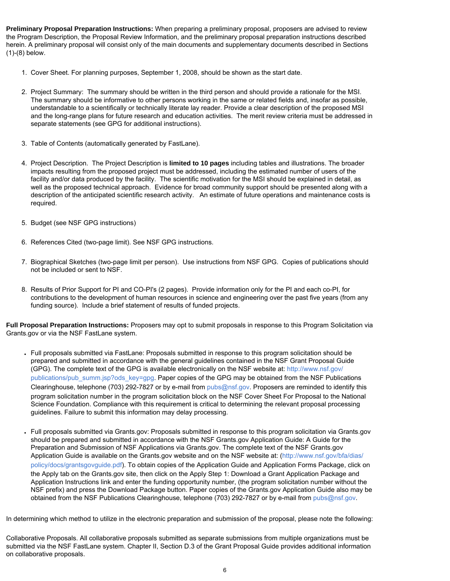**Preliminary Proposal Preparation Instructions:** When preparing a preliminary proposal, proposers are advised to review the Program Description, the Proposal Review Information, and the preliminary proposal preparation instructions described herein. A preliminary proposal will consist only of the main documents and supplementary documents described in Sections (1)-(8) below.

- 1. Cover Sheet. For planning purposes, September 1, 2008, should be shown as the start date.
- 2. Project Summary: The summary should be written in the third person and should provide a rationale for the MSI. The summary should be informative to other persons working in the same or related fields and, insofar as possible, understandable to a scientifically or technically literate lay reader. Provide a clear description of the proposed MSI and the long-range plans for future research and education activities. The merit review criteria must be addressed in separate statements (see GPG for additional instructions).
- 3. Table of Contents (automatically generated by FastLane).
- 4. Project Description. The Project Description is **limited to 10 pages** including tables and illustrations. The broader impacts resulting from the proposed project must be addressed, including the estimated number of users of the facility and/or data produced by the facility. The scientific motivation for the MSI should be explained in detail, as well as the proposed technical approach. Evidence for broad community support should be presented along with a description of the anticipated scientific research activity. An estimate of future operations and maintenance costs is required.
- 5. Budget (see NSF GPG instructions)
- 6. References Cited (two-page limit). See NSF GPG instructions.
- 7. Biographical Sketches (two-page limit per person). Use instructions from NSF GPG. Copies of publications should not be included or sent to NSF.
- 8. Results of Prior Support for PI and CO-PI's (2 pages). Provide information only for the PI and each co-PI, for contributions to the development of human resources in science and engineering over the past five years (from any funding source). Include a brief statement of results of funded projects.

**Full Proposal Preparation Instructions:** Proposers may opt to submit proposals in response to this Program Solicitation via Grants.gov or via the NSF FastLane system.

- Full proposals submitted via FastLane: Proposals submitted in response to this program solicitation should be prepared and submitted in accordance with the general guidelines contained in the NSF Grant Proposal Guide (GPG). The complete text of the GPG is available electronically on the NSF website at: [http://www.nsf.gov/](http://www.nsf.gov/publications/pub_summ.jsp?ods_key=gpg) [publications/pub\\_summ.jsp?ods\\_key=gpg.](http://www.nsf.gov/publications/pub_summ.jsp?ods_key=gpg) Paper copies of the GPG may be obtained from the NSF Publications Clearinghouse, telephone (703) 292-7827 or by e-mail from [pubs@nsf.gov.](mailto:pubs@nsf.gov) Proposers are reminded to identify this program solicitation number in the program solicitation block on the NSF Cover Sheet For Proposal to the National Science Foundation. Compliance with this requirement is critical to determining the relevant proposal processing guidelines. Failure to submit this information may delay processing.
- Full proposals submitted via Grants.gov: Proposals submitted in response to this program solicitation via Grants.gov should be prepared and submitted in accordance with the NSF Grants.gov Application Guide: A Guide for the Preparation and Submission of NSF Applications via Grants.gov. The complete text of the NSF Grants.gov Application Guide is available on the Grants.gov website and on the NSF website at: [\(http://www.nsf.gov/bfa/dias/](http://www.nsf.gov/bfa/dias/policy/docs/grantsgovguide.pdf) [policy/docs/grantsgovguide.pdf\)](http://www.nsf.gov/bfa/dias/policy/docs/grantsgovguide.pdf). To obtain copies of the Application Guide and Application Forms Package, click on the Apply tab on the Grants.gov site, then click on the Apply Step 1: Download a Grant Application Package and Application Instructions link and enter the funding opportunity number, (the program solicitation number without the NSF prefix) and press the Download Package button. Paper copies of the Grants.gov Application Guide also may be obtained from the NSF Publications Clearinghouse, telephone (703) 292-7827 or by e-mail from [pubs@nsf.gov](mailto:pubs@nsf.gov).

In determining which method to utilize in the electronic preparation and submission of the proposal, please note the following:

Collaborative Proposals. All collaborative proposals submitted as separate submissions from multiple organizations must be submitted via the NSF FastLane system. Chapter II, Section D.3 of the Grant Proposal Guide provides additional information on collaborative proposals.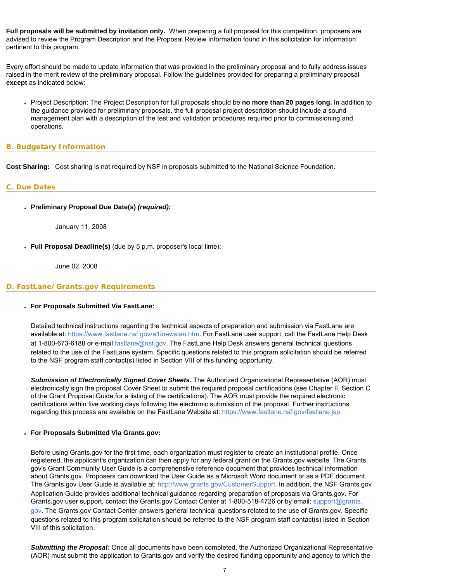**Full proposals will be submitted by invitation only.** When preparing a full proposal for this competition, proposers are advised to review the Program Description and the Proposal Review Information found in this solicitation for information pertinent to this program.

Every effort should be made to update information that was provided in the preliminary proposal and to fully address issues raised in the merit review of the preliminary proposal. Follow the guidelines provided for preparing a preliminary proposal **except** as indicated below:

● Project Description: The Project Description for full proposals should be **no more than 20 pages long.** In addition to the guidance provided for preliminary proposals, the full proposal project description should include a sound management plan with a description of the test and validation procedures required prior to commissioning and operations.

# <span id="page-6-0"></span>**B. Budgetary Information**

**Cost Sharing:** Cost sharing is not required by NSF in proposals submitted to the National Science Foundation.

# <span id="page-6-1"></span>**C. Due Dates**

● **Preliminary Proposal Due Date(s)** *(required):*

January 11, 2008

● **Full Proposal Deadline(s)** (due by 5 p.m. proposer's local time):

June 02, 2008

# <span id="page-6-2"></span>**D. FastLane/Grants.gov Requirements**

# ● **For Proposals Submitted Via FastLane:**

Detailed technical instructions regarding the technical aspects of preparation and submission via FastLane are available at: <https://www.fastlane.nsf.gov/a1/newstan.htm>. For FastLane user support, call the FastLane Help Desk at 1-800-673-6188 or e-mail [fastlane@nsf.gov](mailto:fastlane@nsf.gov). The FastLane Help Desk answers general technical questions related to the use of the FastLane system. Specific questions related to this program solicitation should be referred to the NSF program staff contact(s) listed in Section VIII of this funding opportunity.

*Submission of Electronically Signed Cover Sheets.* The Authorized Organizational Representative (AOR) must electronically sign the proposal Cover Sheet to submit the required proposal certifications (see Chapter II, Section C of the Grant Proposal Guide for a listing of the certifications). The AOR must provide the required electronic certifications within five working days following the electronic submission of the proposal. Further instructions regarding this process are available on the FastLane Website at: [https://www.fastlane.nsf.gov/fastlane.jsp.](https://www.fastlane.nsf.gov/fastlane.jsp)

#### ● **For Proposals Submitted Via Grants.gov:**

Before using Grants.gov for the first time, each organization must register to create an institutional profile. Once registered, the applicant's organization can then apply for any federal grant on the Grants.gov website. The Grants. gov's Grant Community User Guide is a comprehensive reference document that provides technical information about Grants.gov. Proposers can download the User Guide as a Microsoft Word document or as a PDF document. The Grants.gov User Guide is available at: [http://www.grants.gov/CustomerSupport.](http://www.grants.gov/CustomerSupport) In addition, the NSF Grants.gov Application Guide provides additional technical guidance regarding preparation of proposals via Grants.gov. For Grants.gov user support, contact the Grants.gov Contact Center at 1-800-518-4726 or by email: [support@grants.](mailto:support@grants.gov) [gov](mailto:support@grants.gov). The Grants.gov Contact Center answers general technical questions related to the use of Grants.gov. Specific questions related to this program solicitation should be referred to the NSF program staff contact(s) listed in Section VIII of this solicitation.

*Submitting the Proposal:* Once all documents have been completed, the Authorized Organizational Representative (AOR) must submit the application to Grants.gov and verify the desired funding opportunity and agency to which the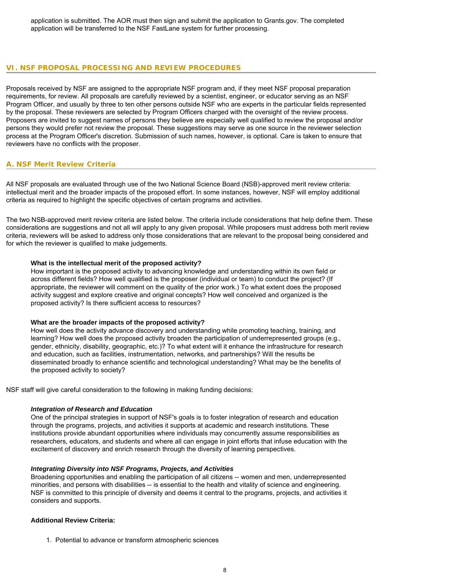application is submitted. The AOR must then sign and submit the application to Grants.gov. The completed application will be transferred to the NSF FastLane system for further processing.

#### <span id="page-7-1"></span><span id="page-7-0"></span>**VI. NSF PROPOSAL PROCESSING AND REVIEW PROCEDURES**

Proposals received by NSF are assigned to the appropriate NSF program and, if they meet NSF proposal preparation requirements, for review. All proposals are carefully reviewed by a scientist, engineer, or educator serving as an NSF Program Officer, and usually by three to ten other persons outside NSF who are experts in the particular fields represented by the proposal. These reviewers are selected by Program Officers charged with the oversight of the review process. Proposers are invited to suggest names of persons they believe are especially well qualified to review the proposal and/or persons they would prefer not review the proposal. These suggestions may serve as one source in the reviewer selection process at the Program Officer's discretion. Submission of such names, however, is optional. Care is taken to ensure that reviewers have no conflicts with the proposer.

#### **A. NSF Merit Review Criteria**

All NSF proposals are evaluated through use of the two National Science Board (NSB)-approved merit review criteria: intellectual merit and the broader impacts of the proposed effort. In some instances, however, NSF will employ additional criteria as required to highlight the specific objectives of certain programs and activities.

The two NSB-approved merit review criteria are listed below. The criteria include considerations that help define them. These considerations are suggestions and not all will apply to any given proposal. While proposers must address both merit review criteria, reviewers will be asked to address only those considerations that are relevant to the proposal being considered and for which the reviewer is qualified to make judgements.

#### **What is the intellectual merit of the proposed activity?**

How important is the proposed activity to advancing knowledge and understanding within its own field or across different fields? How well qualified is the proposer (individual or team) to conduct the project? (If appropriate, the reviewer will comment on the quality of the prior work.) To what extent does the proposed activity suggest and explore creative and original concepts? How well conceived and organized is the proposed activity? Is there sufficient access to resources?

#### **What are the broader impacts of the proposed activity?**

How well does the activity advance discovery and understanding while promoting teaching, training, and learning? How well does the proposed activity broaden the participation of underrepresented groups (e.g., gender, ethnicity, disability, geographic, etc.)? To what extent will it enhance the infrastructure for research and education, such as facilities, instrumentation, networks, and partnerships? Will the results be disseminated broadly to enhance scientific and technological understanding? What may be the benefits of the proposed activity to society?

NSF staff will give careful consideration to the following in making funding decisions:

#### *Integration of Research and Education*

One of the principal strategies in support of NSF's goals is to foster integration of research and education through the programs, projects, and activities it supports at academic and research institutions. These institutions provide abundant opportunities where individuals may concurrently assume responsibilities as researchers, educators, and students and where all can engage in joint efforts that infuse education with the excitement of discovery and enrich research through the diversity of learning perspectives.

#### *Integrating Diversity into NSF Programs, Projects, and Activities*

Broadening opportunities and enabling the participation of all citizens -- women and men, underrepresented minorities, and persons with disabilities -- is essential to the health and vitality of science and engineering. NSF is committed to this principle of diversity and deems it central to the programs, projects, and activities it considers and supports.

#### **Additional Review Criteria:**

1. Potential to advance or transform atmospheric sciences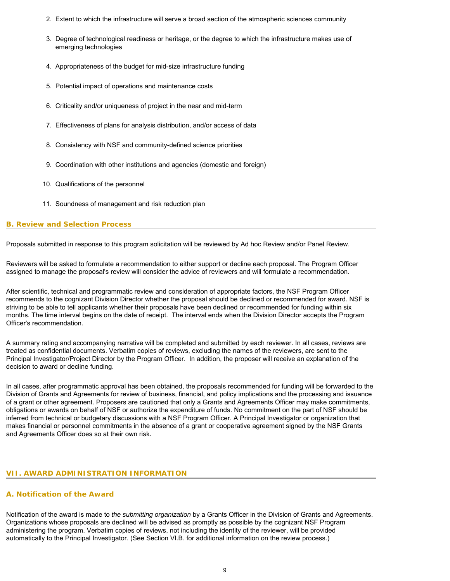- 2. Extent to which the infrastructure will serve a broad section of the atmospheric sciences community
- 3. Degree of technological readiness or heritage, or the degree to which the infrastructure makes use of emerging technologies
- 4. Appropriateness of the budget for mid-size infrastructure funding
- 5. Potential impact of operations and maintenance costs
- 6. Criticality and/or uniqueness of project in the near and mid-term
- 7. Effectiveness of plans for analysis distribution, and/or access of data
- 8. Consistency with NSF and community-defined science priorities
- 9. Coordination with other institutions and agencies (domestic and foreign)
- 10. Qualifications of the personnel
- 11. Soundness of management and risk reduction plan

# <span id="page-8-0"></span>**B. Review and Selection Process**

Proposals submitted in response to this program solicitation will be reviewed by Ad hoc Review and/or Panel Review.

Reviewers will be asked to formulate a recommendation to either support or decline each proposal. The Program Officer assigned to manage the proposal's review will consider the advice of reviewers and will formulate a recommendation.

After scientific, technical and programmatic review and consideration of appropriate factors, the NSF Program Officer recommends to the cognizant Division Director whether the proposal should be declined or recommended for award. NSF is striving to be able to tell applicants whether their proposals have been declined or recommended for funding within six months. The time interval begins on the date of receipt. The interval ends when the Division Director accepts the Program Officer's recommendation.

A summary rating and accompanying narrative will be completed and submitted by each reviewer. In all cases, reviews are treated as confidential documents. Verbatim copies of reviews, excluding the names of the reviewers, are sent to the Principal Investigator/Project Director by the Program Officer. In addition, the proposer will receive an explanation of the decision to award or decline funding.

In all cases, after programmatic approval has been obtained, the proposals recommended for funding will be forwarded to the Division of Grants and Agreements for review of business, financial, and policy implications and the processing and issuance of a grant or other agreement. Proposers are cautioned that only a Grants and Agreements Officer may make commitments, obligations or awards on behalf of NSF or authorize the expenditure of funds. No commitment on the part of NSF should be inferred from technical or budgetary discussions with a NSF Program Officer. A Principal Investigator or organization that makes financial or personnel commitments in the absence of a grant or cooperative agreement signed by the NSF Grants and Agreements Officer does so at their own risk.

# <span id="page-8-2"></span><span id="page-8-1"></span>**VII. AWARD ADMINISTRATION INFORMATION**

# **A. Notification of the Award**

<span id="page-8-3"></span>Notification of the award is made to *the submitting organization* by a Grants Officer in the Division of Grants and Agreements. Organizations whose proposals are declined will be advised as promptly as possible by the cognizant NSF Program administering the program. Verbatim copies of reviews, not including the identity of the reviewer, will be provided automatically to the Principal Investigator. (See Section VI.B. for additional information on the review process.)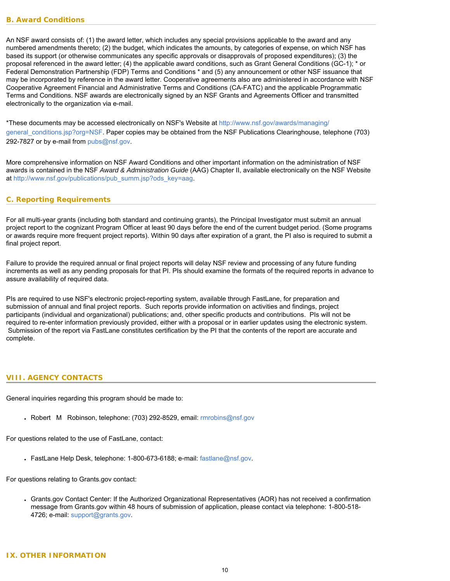An NSF award consists of: (1) the award letter, which includes any special provisions applicable to the award and any numbered amendments thereto; (2) the budget, which indicates the amounts, by categories of expense, on which NSF has based its support (or otherwise communicates any specific approvals or disapprovals of proposed expenditures); (3) the proposal referenced in the award letter; (4) the applicable award conditions, such as Grant General Conditions (GC-1); \* or Federal Demonstration Partnership (FDP) Terms and Conditions \* and (5) any announcement or other NSF issuance that may be incorporated by reference in the award letter. Cooperative agreements also are administered in accordance with NSF Cooperative Agreement Financial and Administrative Terms and Conditions (CA-FATC) and the applicable Programmatic Terms and Conditions. NSF awards are electronically signed by an NSF Grants and Agreements Officer and transmitted electronically to the organization via e-mail.

\*These documents may be accessed electronically on NSF's Website at [http://www.nsf.gov/awards/managing/](http://www.nsf.gov/awards/managing/general_conditions.jsp?org=NSF) [general\\_conditions.jsp?org=NSF.](http://www.nsf.gov/awards/managing/general_conditions.jsp?org=NSF) Paper copies may be obtained from the NSF Publications Clearinghouse, telephone (703) 292-7827 or by e-mail from [pubs@nsf.gov](mailto:pubs@nsf.gov).

More comprehensive information on NSF Award Conditions and other important information on the administration of NSF awards is contained in the NSF *Award & Administration Guide* (AAG) Chapter II, available electronically on the NSF Website at [http://www.nsf.gov/publications/pub\\_summ.jsp?ods\\_key=aag.](http://www.nsf.gov/publications/pub_summ.jsp?ods_key=aag)

# <span id="page-9-0"></span>**C. Reporting Requirements**

For all multi-year grants (including both standard and continuing grants), the Principal Investigator must submit an annual project report to the cognizant Program Officer at least 90 days before the end of the current budget period. (Some programs or awards require more frequent project reports). Within 90 days after expiration of a grant, the PI also is required to submit a final project report.

Failure to provide the required annual or final project reports will delay NSF review and processing of any future funding increments as well as any pending proposals for that PI. PIs should examine the formats of the required reports in advance to assure availability of required data.

PIs are required to use NSF's electronic project-reporting system, available through FastLane, for preparation and submission of annual and final project reports. Such reports provide information on activities and findings, project participants (individual and organizational) publications; and, other specific products and contributions. PIs will not be required to re-enter information previously provided, either with a proposal or in earlier updates using the electronic system. Submission of the report via FastLane constitutes certification by the PI that the contents of the report are accurate and complete.

# <span id="page-9-1"></span>**VIII. AGENCY CONTACTS**

General inquiries regarding this program should be made to:

• Robert M Robinson, telephone:  $(703)$  292-8529, email: [rmrobins@nsf.gov](mailto:rmrobins@nsf.gov)

For questions related to the use of FastLane, contact:

• FastLane Help Desk, telephone: 1-800-673-6188; e-mail: [fastlane@nsf.gov](mailto:fastlane@nsf.gov).

For questions relating to Grants.gov contact:

<span id="page-9-2"></span>● Grants.gov Contact Center: If the Authorized Organizational Representatives (AOR) has not received a confirmation message from Grants.gov within 48 hours of submission of application, please contact via telephone: 1-800-518- 4726; e-mail: [support@grants.gov](mailto:support@grants.gov).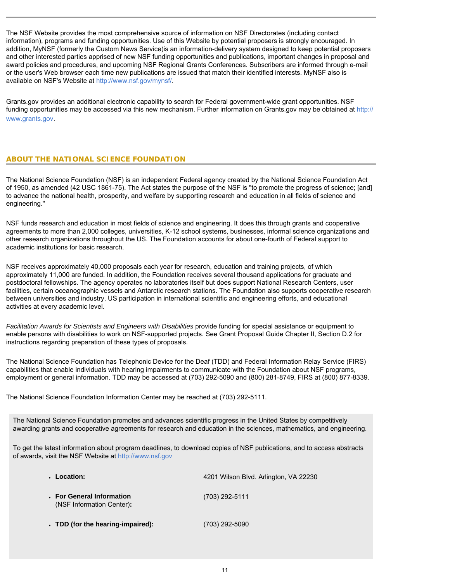The NSF Website provides the most comprehensive source of information on NSF Directorates (including contact information), programs and funding opportunities. Use of this Website by potential proposers is strongly encouraged. In addition, MyNSF (formerly the Custom News Service)is an information-delivery system designed to keep potential proposers and other interested parties apprised of new NSF funding opportunities and publications, important changes in proposal and award policies and procedures, and upcoming NSF Regional Grants Conferences. Subscribers are informed through e-mail or the user's Web browser each time new publications are issued that match their identified interests. MyNSF also is available on NSF's Website at [http://www.nsf.gov/mynsf/.](http://www.nsf.gov/mynsf/)

Grants.gov provides an additional electronic capability to search for Federal government-wide grant opportunities. NSF funding opportunities may be accessed via this new mechanism. Further information on Grants.gov may be obtained at [http://](http://www.grants.gov/) [www.grants.gov.](http://www.grants.gov/)

# **ABOUT THE NATIONAL SCIENCE FOUNDATION**

The National Science Foundation (NSF) is an independent Federal agency created by the National Science Foundation Act of 1950, as amended (42 USC 1861-75). The Act states the purpose of the NSF is "to promote the progress of science; [and] to advance the national health, prosperity, and welfare by supporting research and education in all fields of science and engineering."

NSF funds research and education in most fields of science and engineering. It does this through grants and cooperative agreements to more than 2,000 colleges, universities, K-12 school systems, businesses, informal science organizations and other research organizations throughout the US. The Foundation accounts for about one-fourth of Federal support to academic institutions for basic research.

NSF receives approximately 40,000 proposals each year for research, education and training projects, of which approximately 11,000 are funded. In addition, the Foundation receives several thousand applications for graduate and postdoctoral fellowships. The agency operates no laboratories itself but does support National Research Centers, user facilities, certain oceanographic vessels and Antarctic research stations. The Foundation also supports cooperative research between universities and industry, US participation in international scientific and engineering efforts, and educational activities at every academic level.

*Facilitation Awards for Scientists and Engineers with Disabilities* provide funding for special assistance or equipment to enable persons with disabilities to work on NSF-supported projects. See Grant Proposal Guide Chapter II, Section D.2 for instructions regarding preparation of these types of proposals.

The National Science Foundation has Telephonic Device for the Deaf (TDD) and Federal Information Relay Service (FIRS) capabilities that enable individuals with hearing impairments to communicate with the Foundation about NSF programs, employment or general information. TDD may be accessed at (703) 292-5090 and (800) 281-8749, FIRS at (800) 877-8339.

The National Science Foundation Information Center may be reached at (703) 292-5111.

The National Science Foundation promotes and advances scientific progress in the United States by competitively awarding grants and cooperative agreements for research and education in the sciences, mathematics, and engineering.

To get the latest information about program deadlines, to download copies of NSF publications, and to access abstracts of awards, visit the NSF Website at [http://www.nsf.gov](http://www.nsf.gov/)

| . Location:                                            | 4201 Wilson Blvd. Arlington, VA 22230 |
|--------------------------------------------------------|---------------------------------------|
| . For General Information<br>(NSF Information Center): | (703) 292-5111                        |
| . TDD (for the hearing-impaired):                      | (703) 292-5090                        |